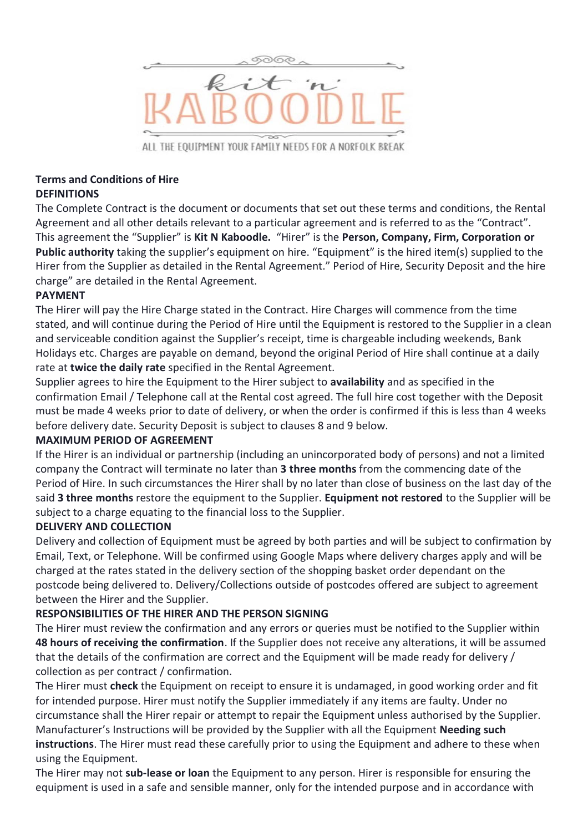

ALL THE EOUIPMENT YOUR FAMILY NEEDS FOR A NORFOLK BREAK

# **Terms and Conditions of Hire**

# **DEFINITIONS**

The Complete Contract is the document or documents that set out these terms and conditions, the Rental Agreement and all other details relevant to a particular agreement and is referred to as the "Contract". This agreement the "Supplier" is **Kit N Kaboodle.** "Hirer" is the **Person, Company, Firm, Corporation or Public authority** taking the supplier's equipment on hire. "Equipment" is the hired item(s) supplied to the Hirer from the Supplier as detailed in the Rental Agreement." Period of Hire, Security Deposit and the hire charge" are detailed in the Rental Agreement.

# **PAYMENT**

The Hirer will pay the Hire Charge stated in the Contract. Hire Charges will commence from the time stated, and will continue during the Period of Hire until the Equipment is restored to the Supplier in a clean and serviceable condition against the Supplier's receipt, time is chargeable including weekends, Bank Holidays etc. Charges are payable on demand, beyond the original Period of Hire shall continue at a daily rate at **twice the daily rate** specified in the Rental Agreement.

Supplier agrees to hire the Equipment to the Hirer subject to **availability** and as specified in the confirmation Email / Telephone call at the Rental cost agreed. The full hire cost together with the Deposit must be made 4 weeks prior to date of delivery, or when the order is confirmed if this is less than 4 weeks before delivery date. Security Deposit is subject to clauses 8 and 9 below.

#### **MAXIMUM PERIOD OF AGREEMENT**

If the Hirer is an individual or partnership (including an unincorporated body of persons) and not a limited company the Contract will terminate no later than **3 three months** from the commencing date of the Period of Hire. In such circumstances the Hirer shall by no later than close of business on the last day of the said **3 three months** restore the equipment to the Supplier. **Equipment not restored** to the Supplier will be subject to a charge equating to the financial loss to the Supplier.

#### **DELIVERY AND COLLECTION**

Delivery and collection of Equipment must be agreed by both parties and will be subject to confirmation by Email, Text, or Telephone. Will be confirmed using Google Maps where delivery charges apply and will be charged at the rates stated in the delivery section of the shopping basket order dependant on the postcode being delivered to. Delivery/Collections outside of postcodes offered are subject to agreement between the Hirer and the Supplier.

# **RESPONSIBILITIES OF THE HIRER AND THE PERSON SIGNING**

The Hirer must review the confirmation and any errors or queries must be notified to the Supplier within **48 hours of receiving the confirmation**. If the Supplier does not receive any alterations, it will be assumed that the details of the confirmation are correct and the Equipment will be made ready for delivery / collection as per contract / confirmation.

The Hirer must **check** the Equipment on receipt to ensure it is undamaged, in good working order and fit for intended purpose. Hirer must notify the Supplier immediately if any items are faulty. Under no circumstance shall the Hirer repair or attempt to repair the Equipment unless authorised by the Supplier. Manufacturer's Instructions will be provided by the Supplier with all the Equipment **Needing such instructions**. The Hirer must read these carefully prior to using the Equipment and adhere to these when using the Equipment.

The Hirer may not **sub-lease or loan** the Equipment to any person. Hirer is responsible for ensuring the equipment is used in a safe and sensible manner, only for the intended purpose and in accordance with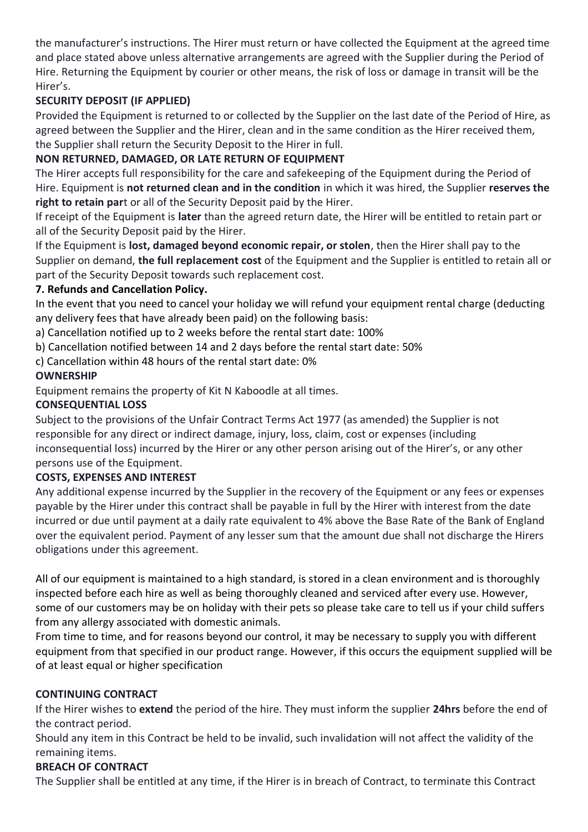the manufacturer's instructions. The Hirer must return or have collected the Equipment at the agreed time and place stated above unless alternative arrangements are agreed with the Supplier during the Period of Hire. Returning the Equipment by courier or other means, the risk of loss or damage in transit will be the Hirer's.

# **SECURITY DEPOSIT (IF APPLIED)**

Provided the Equipment is returned to or collected by the Supplier on the last date of the Period of Hire, as agreed between the Supplier and the Hirer, clean and in the same condition as the Hirer received them, the Supplier shall return the Security Deposit to the Hirer in full.

# **NON RETURNED, DAMAGED, OR LATE RETURN OF EQUIPMENT**

The Hirer accepts full responsibility for the care and safekeeping of the Equipment during the Period of Hire. Equipment is **not returned clean and in the condition** in which it was hired, the Supplier **reserves the right to retain par**t or all of the Security Deposit paid by the Hirer.

If receipt of the Equipment is **later** than the agreed return date, the Hirer will be entitled to retain part or all of the Security Deposit paid by the Hirer.

If the Equipment is **lost, damaged beyond economic repair, or stolen**, then the Hirer shall pay to the Supplier on demand, **the full replacement cost** of the Equipment and the Supplier is entitled to retain all or part of the Security Deposit towards such replacement cost.

#### **7. Refunds and Cancellation Policy.**

In the event that you need to cancel your holiday we will refund your equipment rental charge (deducting any delivery fees that have already been paid) on the following basis:

- a) Cancellation notified up to 2 weeks before the rental start date: 100%
- b) Cancellation notified between 14 and 2 days before the rental start date: 50%
- c) Cancellation within 48 hours of the rental start date: 0%

### **OWNERSHIP**

Equipment remains the property of Kit N Kaboodle at all times.

#### **CONSEQUENTIAL LOSS**

Subject to the provisions of the Unfair Contract Terms Act 1977 (as amended) the Supplier is not responsible for any direct or indirect damage, injury, loss, claim, cost or expenses (including inconsequential loss) incurred by the Hirer or any other person arising out of the Hirer's, or any other persons use of the Equipment.

#### **COSTS, EXPENSES AND INTEREST**

Any additional expense incurred by the Supplier in the recovery of the Equipment or any fees or expenses payable by the Hirer under this contract shall be payable in full by the Hirer with interest from the date incurred or due until payment at a daily rate equivalent to 4% above the Base Rate of the Bank of England over the equivalent period. Payment of any lesser sum that the amount due shall not discharge the Hirers obligations under this agreement.

All of our equipment is maintained to a high standard, is stored in a clean environment and is thoroughly inspected before each hire as well as being thoroughly cleaned and serviced after every use. However, some of our customers may be on holiday with their pets so please take care to tell us if your child suffers from any allergy associated with domestic animals.

From time to time, and for reasons beyond our control, it may be necessary to supply you with different equipment from that specified in our product range. However, if this occurs the equipment supplied will be of at least equal or higher specification

#### **CONTINUING CONTRACT**

If the Hirer wishes to **extend** the period of the hire. They must inform the supplier **24hrs** before the end of the contract period.

Should any item in this Contract be held to be invalid, such invalidation will not affect the validity of the remaining items.

#### **BREACH OF CONTRACT**

The Supplier shall be entitled at any time, if the Hirer is in breach of Contract, to terminate this Contract